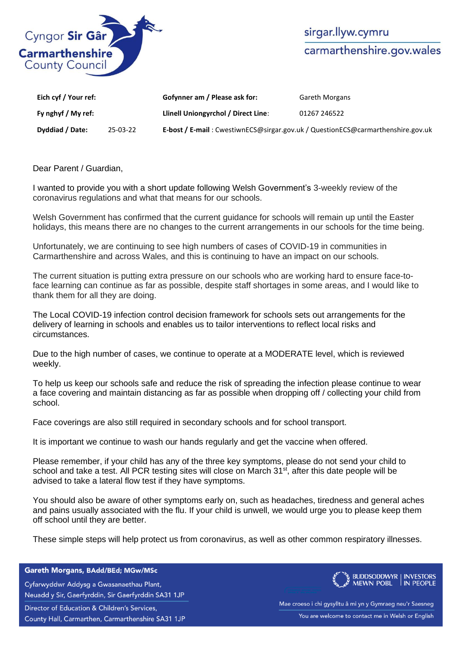

| Eich cyf / Your ref: |          | Gofynner am / Please ask for:                                                   | <b>Gareth Morgans</b> |
|----------------------|----------|---------------------------------------------------------------------------------|-----------------------|
| Fy nghyf / My ref:   |          | Llinell Uniongyrchol / Direct Line:                                             | 01267 246522          |
| Dyddiad / Date:      | 25-03-22 | E-bost / E-mail: CwestiwnECS@sirgar.gov.uk / QuestionECS@carmarthenshire.gov.uk |                       |

Dear Parent / Guardian,

I wanted to provide you with a short update following Welsh Government's 3-weekly review of the coronavirus regulations and what that means for our schools.

Welsh Government has confirmed that the current guidance for schools will remain up until the Easter holidays, this means there are no changes to the current arrangements in our schools for the time being.

Unfortunately, we are continuing to see high numbers of cases of COVID-19 in communities in Carmarthenshire and across Wales, and this is continuing to have an impact on our schools.

The current situation is putting extra pressure on our schools who are working hard to ensure face-toface learning can continue as far as possible, despite staff shortages in some areas, and I would like to thank them for all they are doing.

The Local COVID-19 infection control decision framework for schools sets out arrangements for the delivery of learning in schools and enables us to tailor interventions to reflect local risks and circumstances.

Due to the high number of cases, we continue to operate at a MODERATE level, which is reviewed weekly.

To help us keep our schools safe and reduce the risk of spreading the infection please continue to wear a face covering and maintain distancing as far as possible when dropping off / collecting your child from school.

Face coverings are also still required in secondary schools and for school transport.

It is important we continue to wash our hands regularly and get the vaccine when offered.

Please remember, if your child has any of the three key symptoms, please do not send your child to school and take a test. All PCR testing sites will close on March  $31<sup>st</sup>$ , after this date people will be advised to take a lateral flow test if they have symptoms.

You should also be aware of other symptoms early on, such as headaches, tiredness and general aches and pains usually associated with the flu. If your child is unwell, we would urge you to please keep them off school until they are better.

These simple steps will help protect us from coronavirus, as well as other common respiratory illnesses.

## Gareth Morgans, BAdd/BEd; MGw/MSc

Cyfarwyddwr Addysg a Gwasanaethau Plant, Neuadd y Sir, Gaerfyrddin, Sir Gaerfyrddin SA31 1JP Director of Education & Children's Services, County Hall, Carmarthen, Carmarthenshire SA31 1JP



Mae croeso i chi gysylltu â mi yn y Gymraeg neu'r Saesneg You are welcome to contact me in Welsh or English